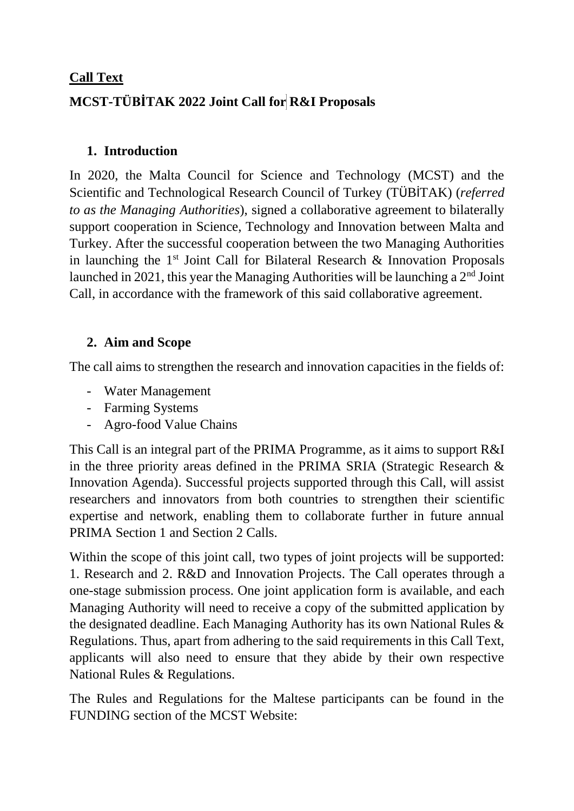#### **Call Text**

# **MCST-TÜBİTAK 2022 Joint Call for R&I Proposals**

## **1. Introduction**

In 2020, the Malta Council for Science and Technology (MCST) and the Scientific and Technological Research Council of Turkey (TÜBİTAK) (*referred to as the Managing Authorities*), signed a collaborative agreement to bilaterally support cooperation in Science, Technology and Innovation between Malta and Turkey. After the successful cooperation between the two Managing Authorities in launching the  $1<sup>st</sup>$  Joint Call for Bilateral Research & Innovation Proposals launched in 2021, this year the Managing Authorities will be launching a  $2<sup>nd</sup>$  Joint Call, in accordance with the framework of this said collaborative agreement.

## **2. Aim and Scope**

The call aims to strengthen the research and innovation capacities in the fields of:

- Water Management
- Farming Systems
- Agro-food Value Chains

This Call is an integral part of the PRIMA Programme, as it aims to support R&I in the three priority areas defined in the PRIMA SRIA (Strategic Research & Innovation Agenda). Successful projects supported through this Call, will assist researchers and innovators from both countries to strengthen their scientific expertise and network, enabling them to collaborate further in future annual PRIMA Section 1 and Section 2 Calls.

Within the scope of this joint call, two types of joint projects will be supported: 1. Research and 2. R&D and Innovation Projects. The Call operates through a one-stage submission process. One joint application form is available, and each Managing Authority will need to receive a copy of the submitted application by the designated deadline. Each Managing Authority has its own National Rules & Regulations. Thus, apart from adhering to the said requirements in this Call Text, applicants will also need to ensure that they abide by their own respective National Rules & Regulations.

The Rules and Regulations for the Maltese participants can be found in the FUNDING section of the MCST Website: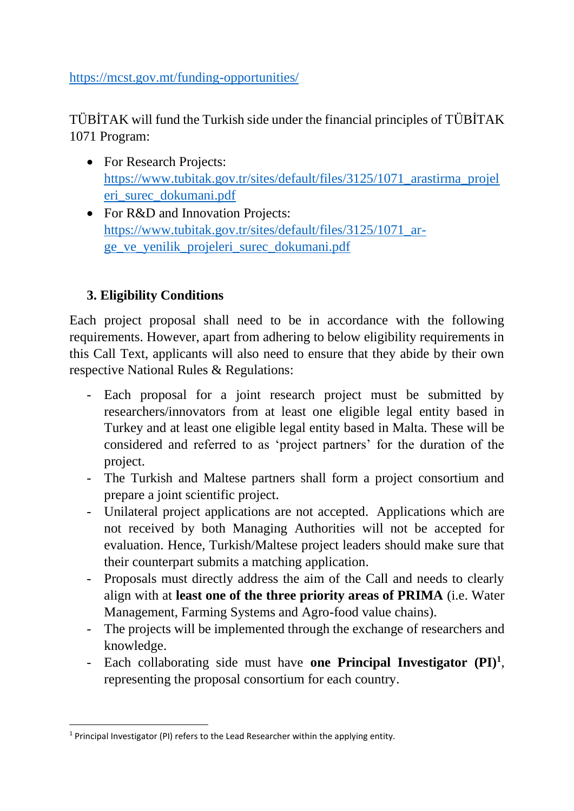https://mcst.gov.mt/funding-opportunities/

TÜBİTAK will fund the Turkish side under the financial principles of TÜBİTAK 1071 Program:

- For Research Projects: [https://www.tubitak.gov.tr/sites/default/files/3125/1071\\_arastirma\\_projel](https://www.tubitak.gov.tr/sites/default/files/3125/1071_arastirma_projeleri_surec_dokumani.pdf) [eri\\_surec\\_dokumani.pdf](https://www.tubitak.gov.tr/sites/default/files/3125/1071_arastirma_projeleri_surec_dokumani.pdf)
- For R&D and Innovation Projects: [https://www.tubitak.gov.tr/sites/default/files/3125/1071\\_ar](https://www.tubitak.gov.tr/sites/default/files/3125/1071_ar-ge_ve_yenilik_projeleri_surec_dokumani.pdf)[ge\\_ve\\_yenilik\\_projeleri\\_surec\\_dokumani.pdf](https://www.tubitak.gov.tr/sites/default/files/3125/1071_ar-ge_ve_yenilik_projeleri_surec_dokumani.pdf)

## **3. Eligibility Conditions**

Each project proposal shall need to be in accordance with the following requirements. However, apart from adhering to below eligibility requirements in this Call Text, applicants will also need to ensure that they abide by their own respective National Rules & Regulations:

- Each proposal for a joint research project must be submitted by researchers/innovators from at least one eligible legal entity based in Turkey and at least one eligible legal entity based in Malta. These will be considered and referred to as 'project partners' for the duration of the project.
- The Turkish and Maltese partners shall form a project consortium and prepare a joint scientific project.
- Unilateral project applications are not accepted. Applications which are not received by both Managing Authorities will not be accepted for evaluation. Hence, Turkish/Maltese project leaders should make sure that their counterpart submits a matching application.
- Proposals must directly address the aim of the Call and needs to clearly align with at **least one of the three priority areas of PRIMA** (i.e. Water Management, Farming Systems and Agro-food value chains).
- The projects will be implemented through the exchange of researchers and knowledge.
- Each collaborating side must have **one Principal Investigator (PI)<sup>1</sup>** , representing the proposal consortium for each country.

<sup>&</sup>lt;sup>1</sup> Principal Investigator (PI) refers to the Lead Researcher within the applying entity.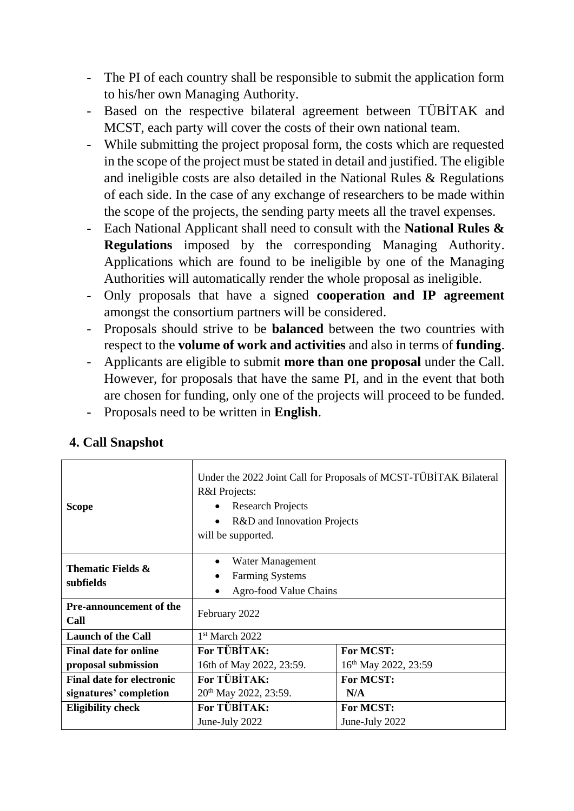- The PI of each country shall be responsible to submit the application form to his/her own Managing Authority.
- Based on the respective bilateral agreement between TÜBİTAK and MCST, each party will cover the costs of their own national team.
- While submitting the project proposal form, the costs which are requested in the scope of the project must be stated in detail and justified. The eligible and ineligible costs are also detailed in the National Rules & Regulations of each side. In the case of any exchange of researchers to be made within the scope of the projects, the sending party meets all the travel expenses.
- Each National Applicant shall need to consult with the **National Rules & Regulations** imposed by the corresponding Managing Authority. Applications which are found to be ineligible by one of the Managing Authorities will automatically render the whole proposal as ineligible.
- Only proposals that have a signed **cooperation and IP agreement** amongst the consortium partners will be considered.
- Proposals should strive to be **balanced** between the two countries with respect to the **volume of work and activities** and also in terms of **funding**.
- Applicants are eligible to submit **more than one proposal** under the Call. However, for proposals that have the same PI, and in the event that both are chosen for funding, only one of the projects will proceed to be funded.
- Proposals need to be written in **English**.

| <b>Scope</b>                                                             | Under the 2022 Joint Call for Proposals of MCST-TÜBİTAK Bilateral<br>R&I Projects:<br><b>Research Projects</b><br>$\bullet$<br>R&D and Innovation Projects<br>$\bullet$<br>will be supported. |                                  |  |
|--------------------------------------------------------------------------|-----------------------------------------------------------------------------------------------------------------------------------------------------------------------------------------------|----------------------------------|--|
| Thematic Fields &<br>subfields<br><b>Pre-announcement of the</b><br>Call | Water Management<br>$\bullet$<br><b>Farming Systems</b><br>Agro-food Value Chains<br>$\bullet$<br>February 2022                                                                               |                                  |  |
|                                                                          |                                                                                                                                                                                               |                                  |  |
| <b>Launch of the Call</b>                                                | $1st$ March 2022                                                                                                                                                                              |                                  |  |
| <b>Final date for online</b>                                             | For TÜBİTAK:                                                                                                                                                                                  | <b>For MCST:</b>                 |  |
| proposal submission                                                      | 16th of May 2022, 23:59.                                                                                                                                                                      | 16 <sup>th</sup> May 2022, 23:59 |  |
| <b>Final date for electronic</b>                                         | For TÜBİTAK:                                                                                                                                                                                  | <b>For MCST:</b>                 |  |
| signatures' completion                                                   | 20 <sup>th</sup> May 2022, 23:59.                                                                                                                                                             | N/A                              |  |
| <b>Eligibility check</b>                                                 | For TÜBİTAK:                                                                                                                                                                                  | <b>For MCST:</b>                 |  |
|                                                                          | June-July 2022                                                                                                                                                                                | June-July 2022                   |  |

#### **4. Call Snapshot**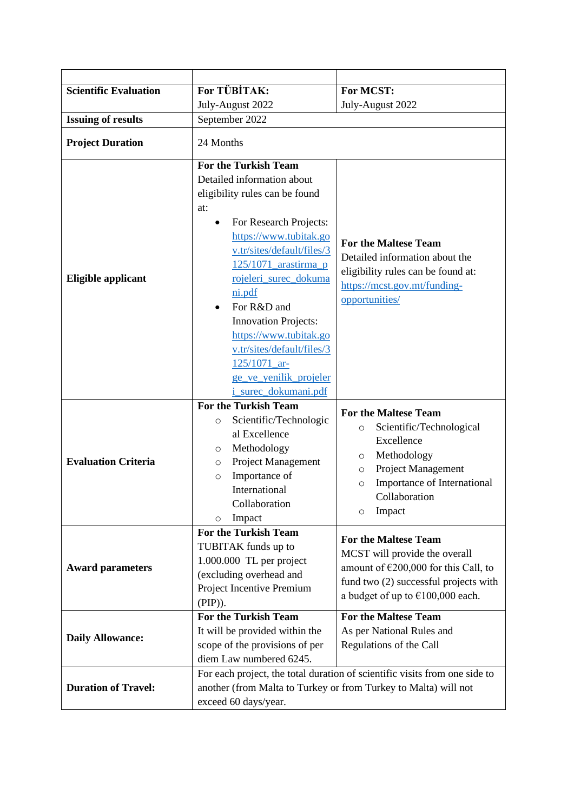| <b>Scientific Evaluation</b> | For TÜBİTAK:                                                                                                                                                                                                                                                                                                                         | For MCST:                                                                                                                                                                                                             |
|------------------------------|--------------------------------------------------------------------------------------------------------------------------------------------------------------------------------------------------------------------------------------------------------------------------------------------------------------------------------------|-----------------------------------------------------------------------------------------------------------------------------------------------------------------------------------------------------------------------|
|                              | July-August 2022                                                                                                                                                                                                                                                                                                                     | July-August 2022                                                                                                                                                                                                      |
| <b>Issuing of results</b>    | September 2022                                                                                                                                                                                                                                                                                                                       |                                                                                                                                                                                                                       |
| <b>Project Duration</b>      | 24 Months                                                                                                                                                                                                                                                                                                                            |                                                                                                                                                                                                                       |
| Eligible applicant           | <b>For the Turkish Team</b><br>Detailed information about<br>eligibility rules can be found<br>at:<br>For Research Projects:<br>$\bullet$<br>https://www.tubitak.go<br>v.tr/sites/default/files/3<br>125/1071_arastirma_p<br>rojeleri_surec_dokuma<br>ni.pdf<br>For R&D and<br><b>Innovation Projects:</b><br>https://www.tubitak.go | <b>For the Maltese Team</b><br>Detailed information about the<br>eligibility rules can be found at:<br>https://mcst.gov.mt/funding-<br>opportunities/                                                                 |
|                              | v.tr/sites/default/files/3<br>125/1071_ar-<br>ge ve yenilik projeler<br><i>i_surec_dokumani.pdf</i><br><b>For the Turkish Team</b>                                                                                                                                                                                                   |                                                                                                                                                                                                                       |
| <b>Evaluation Criteria</b>   | Scientific/Technologic<br>$\circ$<br>al Excellence<br>Methodology<br>O<br>Project Management<br>O<br>Importance of<br>$\circ$<br>International<br>Collaboration<br>Impact<br>O                                                                                                                                                       | <b>For the Maltese Team</b><br>Scientific/Technological<br>$\circ$<br>Excellence<br>Methodology<br>O<br>Project Management<br>$\circ$<br>Importance of International<br>$\circ$<br>Collaboration<br>Impact<br>$\circ$ |
| <b>Award parameters</b>      | <b>For the Turkish Team</b><br>TUBITAK funds up to<br>1.000.000 TL per project<br>(excluding overhead and<br>Project Incentive Premium<br>(PIP)).                                                                                                                                                                                    | <b>For the Maltese Team</b><br>MCST will provide the overall<br>amount of $\epsilon$ 200,000 for this Call, to<br>fund two (2) successful projects with<br>a budget of up to $€100,000$ each.                         |
| <b>Daily Allowance:</b>      | For the Turkish Team<br>It will be provided within the<br>scope of the provisions of per<br>diem Law numbered 6245.                                                                                                                                                                                                                  | <b>For the Maltese Team</b><br>As per National Rules and<br>Regulations of the Call                                                                                                                                   |
| <b>Duration of Travel:</b>   | exceed 60 days/year.                                                                                                                                                                                                                                                                                                                 | For each project, the total duration of scientific visits from one side to<br>another (from Malta to Turkey or from Turkey to Malta) will not                                                                         |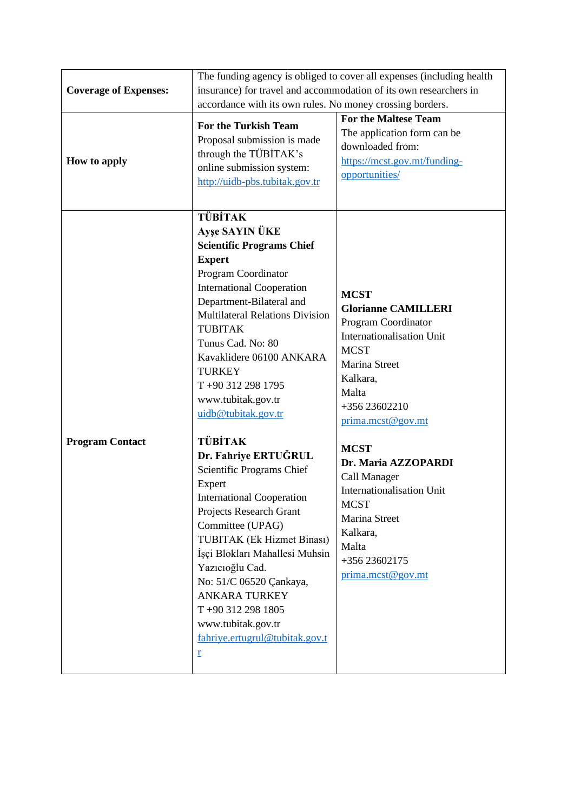|                              | The funding agency is obliged to cover all expenses (including health                                                                                                                                                                                                                                                                                                                                                                                                                                                                                                                                                                                                                                                                                                             |                                                                                                                                                                                                                                                                                                                                                                        |  |
|------------------------------|-----------------------------------------------------------------------------------------------------------------------------------------------------------------------------------------------------------------------------------------------------------------------------------------------------------------------------------------------------------------------------------------------------------------------------------------------------------------------------------------------------------------------------------------------------------------------------------------------------------------------------------------------------------------------------------------------------------------------------------------------------------------------------------|------------------------------------------------------------------------------------------------------------------------------------------------------------------------------------------------------------------------------------------------------------------------------------------------------------------------------------------------------------------------|--|
| <b>Coverage of Expenses:</b> | insurance) for travel and accommodation of its own researchers in<br>accordance with its own rules. No money crossing borders.                                                                                                                                                                                                                                                                                                                                                                                                                                                                                                                                                                                                                                                    |                                                                                                                                                                                                                                                                                                                                                                        |  |
|                              |                                                                                                                                                                                                                                                                                                                                                                                                                                                                                                                                                                                                                                                                                                                                                                                   |                                                                                                                                                                                                                                                                                                                                                                        |  |
|                              | <b>For the Maltese Team</b>                                                                                                                                                                                                                                                                                                                                                                                                                                                                                                                                                                                                                                                                                                                                                       |                                                                                                                                                                                                                                                                                                                                                                        |  |
| How to apply                 | <b>For the Turkish Team</b><br>Proposal submission is made<br>through the TÜBİTAK's<br>online submission system:<br>http://uidb-pbs.tubitak.gov.tr                                                                                                                                                                                                                                                                                                                                                                                                                                                                                                                                                                                                                                | The application form can be<br>downloaded from:<br>https://mcst.gov.mt/funding-<br>opportunities/                                                                                                                                                                                                                                                                      |  |
| <b>Program Contact</b>       | <b>TÜBİTAK</b><br><b>Ayşe SAYIN ÜKE</b><br><b>Scientific Programs Chief</b><br><b>Expert</b><br>Program Coordinator<br><b>International Cooperation</b><br>Department-Bilateral and<br><b>Multilateral Relations Division</b><br><b>TUBITAK</b><br>Tunus Cad. No: 80<br>Kavaklidere 06100 ANKARA<br><b>TURKEY</b><br>$T + 903122981795$<br>www.tubitak.gov.tr<br>uidb@tubitak.gov.tr<br><b>TÜBİTAK</b><br>Dr. Fahriye ERTUĞRUL<br>Scientific Programs Chief<br>Expert<br><b>International Cooperation</b><br>Projects Research Grant<br>Committee (UPAG)<br>TUBITAK (Ek Hizmet Binası)<br>İşçi Blokları Mahallesi Muhsin<br>Yazıcıoğlu Cad.<br>No: 51/C 06520 Çankaya,<br><b>ANKARA TURKEY</b><br>$T + 903122981805$<br>www.tubitak.gov.tr<br>fahriye.ertugrul@tubitak.gov.t<br>r | <b>MCST</b><br><b>Glorianne CAMILLERI</b><br>Program Coordinator<br>Internationalisation Unit<br><b>MCST</b><br>Marina Street<br>Kalkara,<br>Malta<br>+356 23602210<br>prima.mcst@gov.mt<br><b>MCST</b><br>Dr. Maria AZZOPARDI<br>Call Manager<br>Internationalisation Unit<br><b>MCST</b><br>Marina Street<br>Kalkara,<br>Malta<br>+356 23602175<br>prima.mcst@gov.mt |  |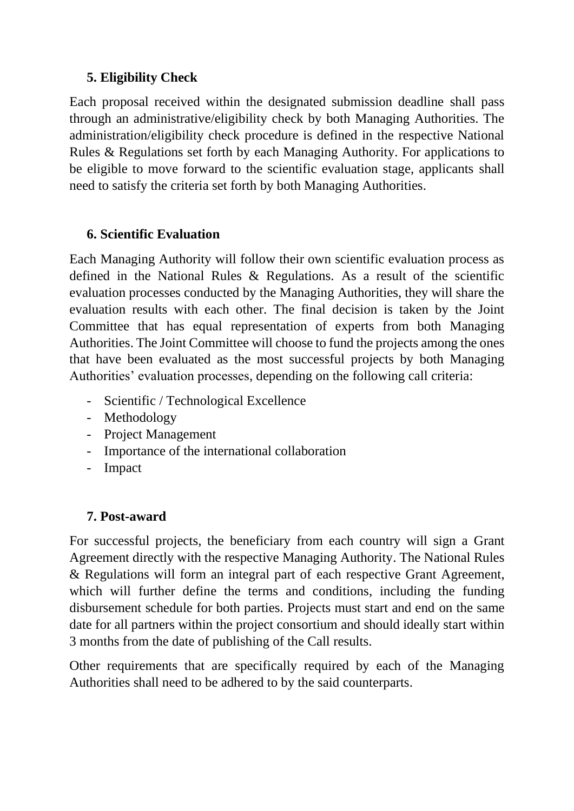## **5. Eligibility Check**

Each proposal received within the designated submission deadline shall pass through an administrative/eligibility check by both Managing Authorities. The administration/eligibility check procedure is defined in the respective National Rules & Regulations set forth by each Managing Authority. For applications to be eligible to move forward to the scientific evaluation stage, applicants shall need to satisfy the criteria set forth by both Managing Authorities.

## **6. Scientific Evaluation**

Each Managing Authority will follow their own scientific evaluation process as defined in the National Rules & Regulations. As a result of the scientific evaluation processes conducted by the Managing Authorities, they will share the evaluation results with each other. The final decision is taken by the Joint Committee that has equal representation of experts from both Managing Authorities. The Joint Committee will choose to fund the projects among the ones that have been evaluated as the most successful projects by both Managing Authorities' evaluation processes, depending on the following call criteria:

- Scientific / Technological Excellence
- Methodology
- Project Management
- Importance of the international collaboration
- Impact

## **7. Post-award**

For successful projects, the beneficiary from each country will sign a Grant Agreement directly with the respective Managing Authority. The National Rules & Regulations will form an integral part of each respective Grant Agreement, which will further define the terms and conditions, including the funding disbursement schedule for both parties. Projects must start and end on the same date for all partners within the project consortium and should ideally start within 3 months from the date of publishing of the Call results.

Other requirements that are specifically required by each of the Managing Authorities shall need to be adhered to by the said counterparts.